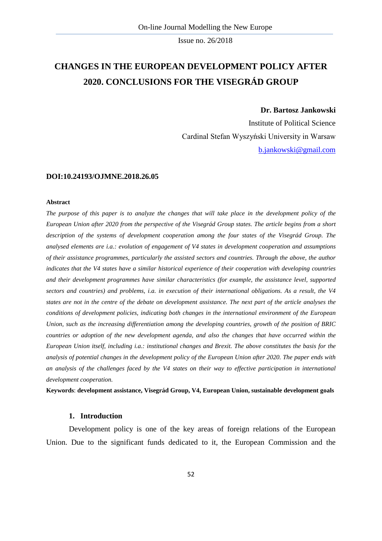# **CHANGES IN THE EUROPEAN DEVELOPMENT POLICY AFTER 2020. CONCLUSIONS FOR THE VISEGRÁD GROUP**

#### **Dr. Bartosz Jankowski**

Institute of Political Science Cardinal Stefan Wyszyński University in Warsaw [b.jankowski@gmail.com](mailto:b.jankowski@gmail.com)

#### **DOI:10.24193/OJMNE.2018.26.05**

#### **Abstract**

*The purpose of this paper is to analyze the changes that will take place in the development policy of the European Union after 2020 from the perspective of the Visegrád Group states. The article begins from a short description of the systems of development cooperation among the four states of the Visegrád Group. The analysed elements are i.a.: evolution of engagement of V4 states in development cooperation and assumptions of their assistance programmes, particularly the assisted sectors and countries. Through the above, the author indicates that the V4 states have a similar historical experience of their cooperation with developing countries and their development programmes have similar characteristics (for example, the assistance level, supported sectors and countries) and problems, i.a. in execution of their international obligations. As a result, the V4 states are not in the centre of the debate on development assistance. The next part of the article analyses the conditions of development policies, indicating both changes in the international environment of the European Union, such as the increasing differentiation among the developing countries, growth of the position of BRIC countries or adoption of the new development agenda, and also the changes that have occurred within the European Union itself, including i.a.: institutional changes and Brexit. The above constitutes the basis for the analysis of potential changes in the development policy of the European Union after 2020. The paper ends with an analysis of the challenges faced by the V4 states on their way to effective participation in international development cooperation.*

**Keywords**: **development assistance, Visegrád Group, V4, European Union, sustainable development goals** 

#### **1. Introduction**

Development policy is one of the key areas of foreign relations of the European Union. Due to the significant funds dedicated to it, the European Commission and the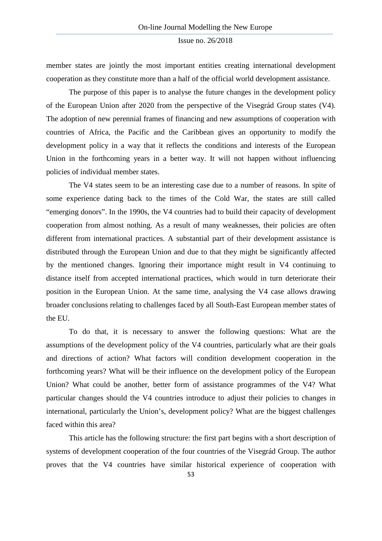member states are jointly the most important entities creating international development cooperation as they constitute more than a half of the official world development assistance.

The purpose of this paper is to analyse the future changes in the development policy of the European Union after 2020 from the perspective of the Visegrád Group states (V4). The adoption of new perennial frames of financing and new assumptions of cooperation with countries of Africa, the Pacific and the Caribbean gives an opportunity to modify the development policy in a way that it reflects the conditions and interests of the European Union in the forthcoming years in a better way. It will not happen without influencing policies of individual member states.

The V4 states seem to be an interesting case due to a number of reasons. In spite of some experience dating back to the times of the Cold War, the states are still called "emerging donors". In the 1990s, the V4 countries had to build their capacity of development cooperation from almost nothing. As a result of many weaknesses, their policies are often different from international practices. A substantial part of their development assistance is distributed through the European Union and due to that they might be significantly affected by the mentioned changes. Ignoring their importance might result in V4 continuing to distance itself from accepted international practices, which would in turn deteriorate their position in the European Union. At the same time, analysing the V4 case allows drawing broader conclusions relating to challenges faced by all South-East European member states of the EU.

To do that, it is necessary to answer the following questions: What are the assumptions of the development policy of the V4 countries, particularly what are their goals and directions of action? What factors will condition development cooperation in the forthcoming years? What will be their influence on the development policy of the European Union? What could be another, better form of assistance programmes of the V4? What particular changes should the V4 countries introduce to adjust their policies to changes in international, particularly the Union's, development policy? What are the biggest challenges faced within this area?

This article has the following structure: the first part begins with a short description of systems of development cooperation of the four countries of the Visegrád Group. The author proves that the V4 countries have similar historical experience of cooperation with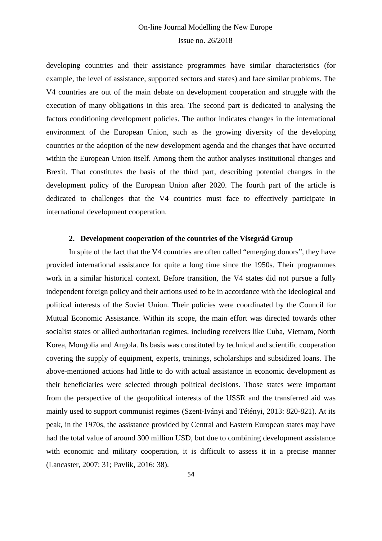developing countries and their assistance programmes have similar characteristics (for example, the level of assistance, supported sectors and states) and face similar problems. The V4 countries are out of the main debate on development cooperation and struggle with the execution of many obligations in this area. The second part is dedicated to analysing the factors conditioning development policies. The author indicates changes in the international environment of the European Union, such as the growing diversity of the developing countries or the adoption of the new development agenda and the changes that have occurred within the European Union itself. Among them the author analyses institutional changes and Brexit. That constitutes the basis of the third part, describing potential changes in the development policy of the European Union after 2020. The fourth part of the article is dedicated to challenges that the V4 countries must face to effectively participate in international development cooperation.

## **2. Development cooperation of the countries of the Visegrád Group**

In spite of the fact that the V4 countries are often called "emerging donors", they have provided international assistance for quite a long time since the 1950s. Their programmes work in a similar historical context. Before transition, the V4 states did not pursue a fully independent foreign policy and their actions used to be in accordance with the ideological and political interests of the Soviet Union. Their policies were coordinated by the Council for Mutual Economic Assistance. Within its scope, the main effort was directed towards other socialist states or allied authoritarian regimes, including receivers like Cuba, Vietnam, North Korea, Mongolia and Angola. Its basis was constituted by technical and scientific cooperation covering the supply of equipment, experts, trainings, scholarships and subsidized loans. The above-mentioned actions had little to do with actual assistance in economic development as their beneficiaries were selected through political decisions. Those states were important from the perspective of the geopolitical interests of the USSR and the transferred aid was mainly used to support communist regimes (Szent-Iványi and Tétényi, 2013: 820-821). At its peak, in the 1970s, the assistance provided by Central and Eastern European states may have had the total value of around 300 million USD, but due to combining development assistance with economic and military cooperation, it is difficult to assess it in a precise manner (Lancaster, 2007: 31; Pavlik, 2016: 38).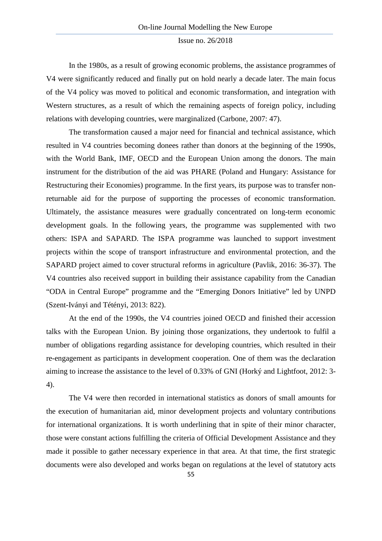In the 1980s, as a result of growing economic problems, the assistance programmes of V4 were significantly reduced and finally put on hold nearly a decade later. The main focus of the V4 policy was moved to political and economic transformation, and integration with Western structures, as a result of which the remaining aspects of foreign policy, including relations with developing countries, were marginalized (Carbone, 2007: 47).

The transformation caused a major need for financial and technical assistance, which resulted in V4 countries becoming donees rather than donors at the beginning of the 1990s, with the World Bank, IMF, OECD and the European Union among the donors. The main instrument for the distribution of the aid was PHARE (Poland and Hungary: Assistance for Restructuring their Economies) programme. In the first years, its purpose was to transfer nonreturnable aid for the purpose of supporting the processes of economic transformation. Ultimately, the assistance measures were gradually concentrated on long-term economic development goals. In the following years, the programme was supplemented with two others: ISPA and SAPARD. The ISPA programme was launched to support investment projects within the scope of transport infrastructure and environmental protection, and the SAPARD project aimed to cover structural reforms in agriculture (Pavlik, 2016: 36-37). The V4 countries also received support in building their assistance capability from the Canadian "ODA in Central Europe" programme and the "Emerging Donors Initiative" led by UNPD (Szent-Iványi and Tétényi, 2013: 822).

At the end of the 1990s, the V4 countries joined OECD and finished their accession talks with the European Union. By joining those organizations, they undertook to fulfil a number of obligations regarding assistance for developing countries, which resulted in their re-engagement as participants in development cooperation. One of them was the declaration aiming to increase the assistance to the level of 0.33% of GNI (Horký and Lightfoot, 2012: 3- 4).

The V4 were then recorded in international statistics as donors of small amounts for the execution of humanitarian aid, minor development projects and voluntary contributions for international organizations. It is worth underlining that in spite of their minor character, those were constant actions fulfilling the criteria of Official Development Assistance and they made it possible to gather necessary experience in that area. At that time, the first strategic documents were also developed and works began on regulations at the level of statutory acts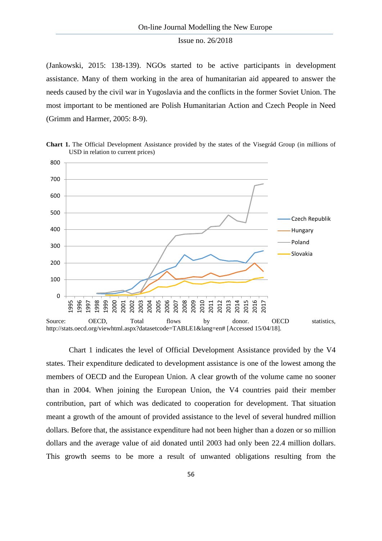(Jankowski, 2015: 138-139). NGOs started to be active participants in development assistance. Many of them working in the area of humanitarian aid appeared to answer the needs caused by the civil war in Yugoslavia and the conflicts in the former Soviet Union. The most important to be mentioned are Polish Humanitarian Action and Czech People in Need (Grimm and Harmer, 2005: 8-9).



**Chart 1.** The Official Development Assistance provided by the states of the Visegrád Group (in millions of USD in relation to current prices)

Chart 1 indicates the level of Official Development Assistance provided by the V4 states. Their expenditure dedicated to development assistance is one of the lowest among the members of OECD and the European Union. A clear growth of the volume came no sooner than in 2004. When joining the European Union, the V4 countries paid their member contribution, part of which was dedicated to cooperation for development. That situation meant a growth of the amount of provided assistance to the level of several hundred million dollars. Before that, the assistance expenditure had not been higher than a dozen or so million dollars and the average value of aid donated until 2003 had only been 22.4 million dollars. This growth seems to be more a result of unwanted obligations resulting from the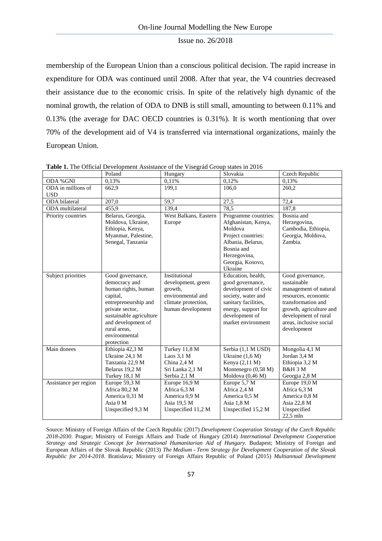membership of the European Union than a conscious political decision. The rapid increase in expenditure for ODA was continued until 2008. After that year, the V4 countries decreased their assistance due to the economic crisis. In spite of the relatively high dynamic of the nominal growth, the relation of ODA to DNB is still small, amounting to between 0.11% and 0.13% (the average for DAC OECD countries is 0.31%). It is worth mentioning that over 70% of the development aid of V4 is transferred via international organizations, mainly the European Union.

|                       | Poland                                                                                                                                                                                                          | Hungary                                                                                                         | Slovakia                                                                                                                                                                               | Czech Republic                                                                                                                                                                                     |
|-----------------------|-----------------------------------------------------------------------------------------------------------------------------------------------------------------------------------------------------------------|-----------------------------------------------------------------------------------------------------------------|----------------------------------------------------------------------------------------------------------------------------------------------------------------------------------------|----------------------------------------------------------------------------------------------------------------------------------------------------------------------------------------------------|
| ODA % GNI             | 0,13%                                                                                                                                                                                                           | 0,11%                                                                                                           | 0,12%                                                                                                                                                                                  | 0,13%                                                                                                                                                                                              |
| ODA in millions of    | 662,9                                                                                                                                                                                                           | 199,1                                                                                                           | 106,0                                                                                                                                                                                  | 260,2                                                                                                                                                                                              |
| <b>USD</b>            |                                                                                                                                                                                                                 |                                                                                                                 |                                                                                                                                                                                        |                                                                                                                                                                                                    |
| ODA bilateral         | $\overline{207,0}$                                                                                                                                                                                              | $\overline{59,7}$                                                                                               | 27,5                                                                                                                                                                                   | 72,4                                                                                                                                                                                               |
| ODA multilateral      | 455,9                                                                                                                                                                                                           | 139,4                                                                                                           | 78,5                                                                                                                                                                                   | 187,8                                                                                                                                                                                              |
| Priority countries    | Belarus, Georgia,<br>Moldova, Ukraine,<br>Ethiopia, Kenya,<br>Myanmar, Palestine,<br>Senegal, Tanzania                                                                                                          | West Balkans, Eastern<br>Europe                                                                                 | Programme countries:<br>Afghanistan, Kenya,<br>Moldova<br>Project countries:<br>Albania, Belarus,<br>Bosnia and<br>Herzegovina,                                                        | Bosnia and<br>Herzegovina,<br>Cambodia, Ethiopia,<br>Georgia, Moldova,<br>Zambia.                                                                                                                  |
|                       |                                                                                                                                                                                                                 |                                                                                                                 | Georgia, Kosovo,                                                                                                                                                                       |                                                                                                                                                                                                    |
| Subject priorities    | Good governance,<br>democracy and<br>human rights, human<br>capital,<br>entrepreneurship and<br>private sector,<br>sustainable agriculture<br>and development of<br>rural areas,<br>environmental<br>protection | Institutional<br>development, green<br>growth,<br>environmental and<br>climate protection,<br>human development | Ukraine<br>Education, health,<br>good governance,<br>development of civic<br>society, water and<br>sanitary facilities,<br>energy, support for<br>development of<br>market environment | Good governance,<br>sustainable<br>management of natural<br>resources, economic<br>transformation and<br>growth, agriculture and<br>development of rural<br>areas, inclusive social<br>development |
| Main donees           | Ethiopia 42,3 M<br>Ukraine 24,1 M<br>Tanzania 22,9 M<br>Belarus 19,2 M<br>Turkey 18,1 M                                                                                                                         | Turkey 11,8 M<br>Laos $3.1 M$<br>China 2,4 M<br>Sri Lanka 2,1 M<br>Serbia 2,1 M                                 | Serbia (1,1 M USD)<br>Ukraine $(1.6 M)$<br>Kenya (2,11 M)<br>Montenegro (0,58 M)<br>Moldova (0,46 M)                                                                                   | Mongolia 4,1 M<br>Jordan 3,4 M<br>Ethiopia 3,2 M<br><b>B&amp;H 3 M</b><br>Georgia 2,8 M                                                                                                            |
| Assistance per region | Europe 59,3 M<br>Africa 80,2 M<br>America 0,31 M<br>Asia 0 M<br>Unspecified 9,3 M                                                                                                                               | Europe 16,9 M<br>Africa 6,3 M<br>America 0,9 M<br>Asia 19,5 M<br>Unspecified 11,2 M                             | Europe 5,7 M<br>Africa 2,4 M<br>America 0,5 M<br>Asia 1,8 M<br>Unspecified 15,2 M                                                                                                      | Europe 19,0 M<br>Africa 6,3 M<br>America 0,8 M<br>Asia 22,8 M<br>Unspecified<br>$22,5$ mln                                                                                                         |

**Table 1.** The Official Development Assistance of the Visegrád Group states in 2016

Source: Ministry of Foreign Affairs of the Czech Republic (2017) *Development Cooperation Strategy of the Czech Republic 2018-2030*. Prague; Ministry of Foreign Affairs and Trade of Hungary (2014) *International Development Cooperation Strategy and Strategic Concept for International Humanitarian Aid of Hungary*. Budapest; Ministry of Foreign and European Affairs of the Slovak Republic (2013) *The Medium - Term Strategy for Development Cooperation of the Slovak Republic for 2014-2018*. Bratislava; Ministry of Foreign Affairs Republic of Poland (2015) *Multiannual Development*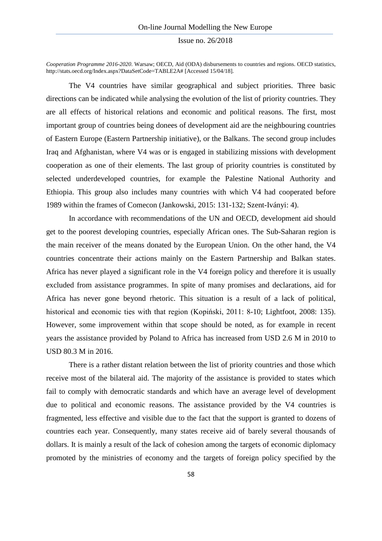*Cooperation Programme 2016-2020*. Warsaw; OECD, Aid (ODA) disbursements to countries and regions. OECD statistics, http://stats.oecd.org/Index.aspx?DataSetCode=TABLE2A# [Accessed 15/04/18].

The V4 countries have similar geographical and subject priorities. Three basic directions can be indicated while analysing the evolution of the list of priority countries. They are all effects of historical relations and economic and political reasons. The first, most important group of countries being donees of development aid are the neighbouring countries of Eastern Europe (Eastern Partnership initiative), or the Balkans. The second group includes Iraq and Afghanistan, where V4 was or is engaged in stabilizing missions with development cooperation as one of their elements. The last group of priority countries is constituted by selected underdeveloped countries, for example the Palestine National Authority and Ethiopia. This group also includes many countries with which V4 had cooperated before 1989 within the frames of Comecon (Jankowski, 2015: 131-132; Szent-Iványi: 4).

In accordance with recommendations of the UN and OECD, development aid should get to the poorest developing countries, especially African ones. The Sub-Saharan region is the main receiver of the means donated by the European Union. On the other hand, the V4 countries concentrate their actions mainly on the Eastern Partnership and Balkan states. Africa has never played a significant role in the V4 foreign policy and therefore it is usually excluded from assistance programmes. In spite of many promises and declarations, aid for Africa has never gone beyond rhetoric. This situation is a result of a lack of political, historical and economic ties with that region (Kopiński, 2011: 8-10; Lightfoot, 2008: 135). However, some improvement within that scope should be noted, as for example in recent years the assistance provided by Poland to Africa has increased from USD 2.6 M in 2010 to USD 80.3 M in 2016.

There is a rather distant relation between the list of priority countries and those which receive most of the bilateral aid. The majority of the assistance is provided to states which fail to comply with democratic standards and which have an average level of development due to political and economic reasons. The assistance provided by the V4 countries is fragmented, less effective and visible due to the fact that the support is granted to dozens of countries each year. Consequently, many states receive aid of barely several thousands of dollars. It is mainly a result of the lack of cohesion among the targets of economic diplomacy promoted by the ministries of economy and the targets of foreign policy specified by the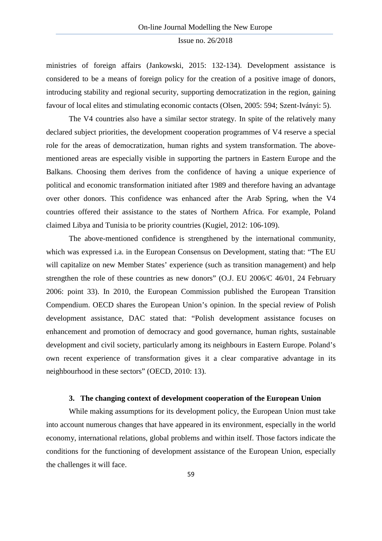ministries of foreign affairs (Jankowski, 2015: 132-134). Development assistance is considered to be a means of foreign policy for the creation of a positive image of donors, introducing stability and regional security, supporting democratization in the region, gaining favour of local elites and stimulating economic contacts (Olsen, 2005: 594; Szent-Iványi: 5).

The V4 countries also have a similar sector strategy. In spite of the relatively many declared subject priorities, the development cooperation programmes of V4 reserve a special role for the areas of democratization, human rights and system transformation. The abovementioned areas are especially visible in supporting the partners in Eastern Europe and the Balkans. Choosing them derives from the confidence of having a unique experience of political and economic transformation initiated after 1989 and therefore having an advantage over other donors. This confidence was enhanced after the Arab Spring, when the V4 countries offered their assistance to the states of Northern Africa. For example, Poland claimed Libya and Tunisia to be priority countries (Kugiel, 2012: 106-109).

The above-mentioned confidence is strengthened by the international community, which was expressed i.a. in the European Consensus on Development, stating that: "The EU will capitalize on new Member States' experience (such as transition management) and help strengthen the role of these countries as new donors" (O.J. EU 2006/C 46/01, 24 February 2006: point 33). In 2010, the European Commission published the European Transition Compendium. OECD shares the European Union's opinion. In the special review of Polish development assistance, DAC stated that: "Polish development assistance focuses on enhancement and promotion of democracy and good governance, human rights, sustainable development and civil society, particularly among its neighbours in Eastern Europe. Poland's own recent experience of transformation gives it a clear comparative advantage in its neighbourhood in these sectors" (OECD, 2010: 13).

#### **3. The changing context of development cooperation of the European Union**

While making assumptions for its development policy, the European Union must take into account numerous changes that have appeared in its environment, especially in the world economy, international relations, global problems and within itself. Those factors indicate the conditions for the functioning of development assistance of the European Union, especially the challenges it will face.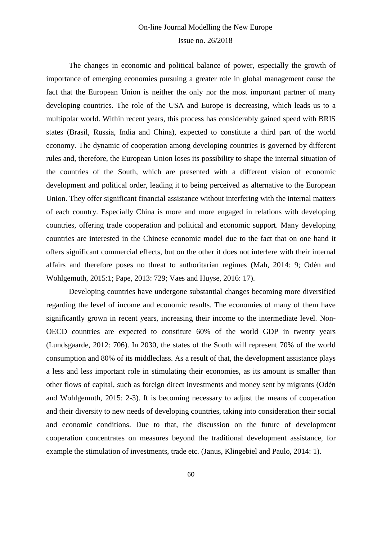The changes in economic and political balance of power, especially the growth of importance of emerging economies pursuing a greater role in global management cause the fact that the European Union is neither the only nor the most important partner of many developing countries. The role of the USA and Europe is decreasing, which leads us to a multipolar world. Within recent years, this process has considerably gained speed with BRIS states (Brasil, Russia, India and China), expected to constitute a third part of the world economy. The dynamic of cooperation among developing countries is governed by different rules and, therefore, the European Union loses its possibility to shape the internal situation of the countries of the South, which are presented with a different vision of economic development and political order, leading it to being perceived as alternative to the European Union. They offer significant financial assistance without interfering with the internal matters of each country. Especially China is more and more engaged in relations with developing countries, offering trade cooperation and political and economic support. Many developing countries are interested in the Chinese economic model due to the fact that on one hand it offers significant commercial effects, but on the other it does not interfere with their internal affairs and therefore poses no threat to authoritarian regimes (Mah, 2014: 9; Odén and Wohlgemuth, 2015:1; Pape, 2013: 729; Vaes and Huyse, 2016: 17).

Developing countries have undergone substantial changes becoming more diversified regarding the level of income and economic results. The economies of many of them have significantly grown in recent years, increasing their income to the intermediate level. Non-OECD countries are expected to constitute 60% of the world GDP in twenty years (Lundsgaarde, 2012: 706). In 2030, the states of the South will represent 70% of the world consumption and 80% of its middleclass. As a result of that, the development assistance plays a less and less important role in stimulating their economies, as its amount is smaller than other flows of capital, such as foreign direct investments and money sent by migrants (Odén and Wohlgemuth, 2015: 2-3). It is becoming necessary to adjust the means of cooperation and their diversity to new needs of developing countries, taking into consideration their social and economic conditions. Due to that, the discussion on the future of development cooperation concentrates on measures beyond the traditional development assistance, for example the stimulation of investments, trade etc. (Janus, Klingebiel and Paulo, 2014: 1).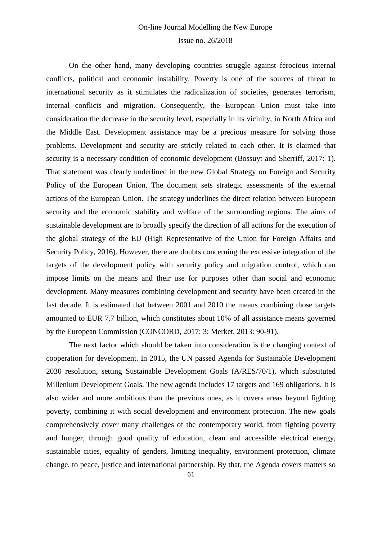On the other hand, many developing countries struggle against ferocious internal conflicts, political and economic instability. Poverty is one of the sources of threat to international security as it stimulates the radicalization of societies, generates terrorism, internal conflicts and migration. Consequently, the European Union must take into consideration the decrease in the security level, especially in its vicinity, in North Africa and the Middle East. Development assistance may be a precious measure for solving those problems. Development and security are strictly related to each other. It is claimed that security is a necessary condition of economic development (Bossuyt and Sherriff, 2017: 1). That statement was clearly underlined in the new Global Strategy on Foreign and Security Policy of the European Union. The document sets strategic assessments of the external actions of the European Union. The strategy underlines the direct relation between European security and the economic stability and welfare of the surrounding regions. The aims of sustainable development are to broadly specify the direction of all actions for the execution of the global strategy of the EU (High Representative of the Union for Foreign Affairs and Security Policy, 2016). However, there are doubts concerning the excessive integration of the targets of the development policy with security policy and migration control, which can impose limits on the means and their use for purposes other than social and economic development. Many measures combining development and security have been created in the last decade. It is estimated that between 2001 and 2010 the means combining those targets amounted to EUR 7.7 billion, which constitutes about 10% of all assistance means governed by the European Commission (CONCORD, 2017: 3; Merket, 2013: 90-91).

The next factor which should be taken into consideration is the changing context of cooperation for development. In 2015, the UN passed Agenda for Sustainable Development 2030 resolution, setting Sustainable Development Goals (A/RES/70/1), which substituted Millenium Development Goals. The new agenda includes 17 targets and 169 obligations. It is also wider and more ambitious than the previous ones, as it covers areas beyond fighting poverty, combining it with social development and environment protection. The new goals comprehensively cover many challenges of the contemporary world, from fighting poverty and hunger, through good quality of education, clean and accessible electrical energy, sustainable cities, equality of genders, limiting inequality, environment protection, climate change, to peace, justice and international partnership. By that, the Agenda covers matters so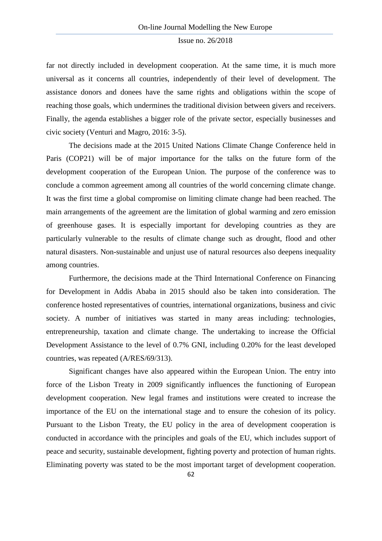far not directly included in development cooperation. At the same time, it is much more universal as it concerns all countries, independently of their level of development. The assistance donors and donees have the same rights and obligations within the scope of reaching those goals, which undermines the traditional division between givers and receivers. Finally, the agenda establishes a bigger role of the private sector, especially businesses and civic society (Venturi and Magro, 2016: 3-5).

The decisions made at the 2015 United Nations Climate Change Conference held in Paris (COP21) will be of major importance for the talks on the future form of the development cooperation of the European Union. The purpose of the conference was to conclude a common agreement among all countries of the world concerning climate change. It was the first time a global compromise on limiting climate change had been reached. The main arrangements of the agreement are the limitation of global warming and zero emission of greenhouse gases. It is especially important for developing countries as they are particularly vulnerable to the results of climate change such as drought, flood and other natural disasters. Non-sustainable and unjust use of natural resources also deepens inequality among countries.

Furthermore, the decisions made at the Third International Conference on Financing for Development in Addis Ababa in 2015 should also be taken into consideration. The conference hosted representatives of countries, international organizations, business and civic society. A number of initiatives was started in many areas including: technologies, entrepreneurship, taxation and climate change. The undertaking to increase the Official Development Assistance to the level of 0.7% GNI, including 0.20% for the least developed countries, was repeated (A/RES/69/313).

Significant changes have also appeared within the European Union. The entry into force of the Lisbon Treaty in 2009 significantly influences the functioning of European development cooperation. New legal frames and institutions were created to increase the importance of the EU on the international stage and to ensure the cohesion of its policy. Pursuant to the Lisbon Treaty, the EU policy in the area of development cooperation is conducted in accordance with the principles and goals of the EU, which includes support of peace and security, sustainable development, fighting poverty and protection of human rights. Eliminating poverty was stated to be the most important target of development cooperation.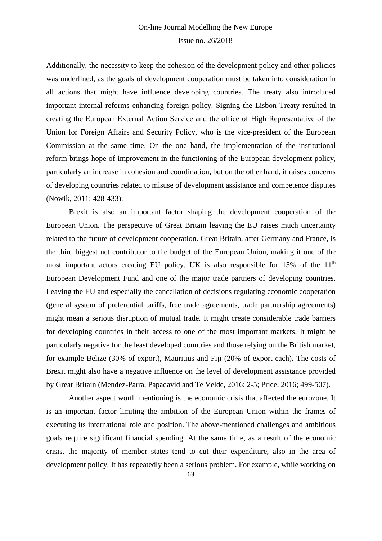Additionally, the necessity to keep the cohesion of the development policy and other policies was underlined, as the goals of development cooperation must be taken into consideration in all actions that might have influence developing countries. The treaty also introduced important internal reforms enhancing foreign policy. Signing the Lisbon Treaty resulted in creating the European External Action Service and the office of High Representative of the Union for Foreign Affairs and Security Policy, who is the vice-president of the European Commission at the same time. On the one hand, the implementation of the institutional reform brings hope of improvement in the functioning of the European development policy, particularly an increase in cohesion and coordination, but on the other hand, it raises concerns of developing countries related to misuse of development assistance and competence disputes (Nowik, 2011: 428-433).

Brexit is also an important factor shaping the development cooperation of the European Union. The perspective of Great Britain leaving the EU raises much uncertainty related to the future of development cooperation. Great Britain, after Germany and France, is the third biggest net contributor to the budget of the European Union, making it one of the most important actors creating EU policy. UK is also responsible for 15% of the  $11<sup>th</sup>$ European Development Fund and one of the major trade partners of developing countries. Leaving the EU and especially the cancellation of decisions regulating economic cooperation (general system of preferential tariffs, free trade agreements, trade partnership agreements) might mean a serious disruption of mutual trade. It might create considerable trade barriers for developing countries in their access to one of the most important markets. It might be particularly negative for the least developed countries and those relying on the British market, for example Belize (30% of export), Mauritius and Fiji (20% of export each). The costs of Brexit might also have a negative influence on the level of development assistance provided by Great Britain (Mendez-Parra, Papadavid and Te Velde, 2016: 2-5; Price, 2016; 499-507).

Another aspect worth mentioning is the economic crisis that affected the eurozone. It is an important factor limiting the ambition of the European Union within the frames of executing its international role and position. The above-mentioned challenges and ambitious goals require significant financial spending. At the same time, as a result of the economic crisis, the majority of member states tend to cut their expenditure, also in the area of development policy. It has repeatedly been a serious problem. For example, while working on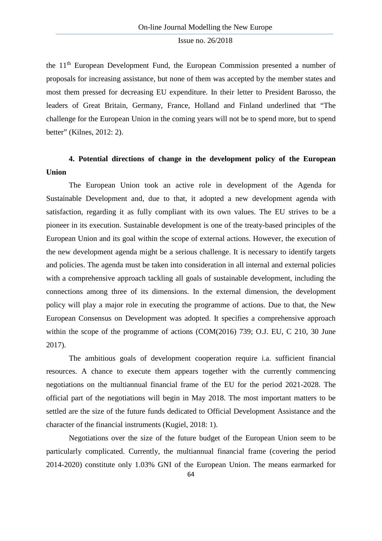the 11th European Development Fund, the European Commission presented a number of proposals for increasing assistance, but none of them was accepted by the member states and most them pressed for decreasing EU expenditure. In their letter to President Barosso, the leaders of Great Britain, Germany, France, Holland and Finland underlined that "The challenge for the European Union in the coming years will not be to spend more, but to spend better" (Kilnes, 2012: 2).

## **4. Potential directions of change in the development policy of the European Union**

The European Union took an active role in development of the Agenda for Sustainable Development and, due to that, it adopted a new development agenda with satisfaction, regarding it as fully compliant with its own values. The EU strives to be a pioneer in its execution. Sustainable development is one of the treaty-based principles of the European Union and its goal within the scope of external actions. However, the execution of the new development agenda might be a serious challenge. It is necessary to identify targets and policies. The agenda must be taken into consideration in all internal and external policies with a comprehensive approach tackling all goals of sustainable development, including the connections among three of its dimensions. In the external dimension, the development policy will play a major role in executing the programme of actions. Due to that, the New European Consensus on Development was adopted. It specifies a comprehensive approach within the scope of the programme of actions (COM(2016) 739; O.J. EU, C 210, 30 June 2017).

The ambitious goals of development cooperation require i.a. sufficient financial resources. A chance to execute them appears together with the currently commencing negotiations on the multiannual financial frame of the EU for the period 2021-2028. The official part of the negotiations will begin in May 2018. The most important matters to be settled are the size of the future funds dedicated to Official Development Assistance and the character of the financial instruments (Kugiel, 2018: 1).

Negotiations over the size of the future budget of the European Union seem to be particularly complicated. Currently, the multiannual financial frame (covering the period 2014-2020) constitute only 1.03% GNI of the European Union. The means earmarked for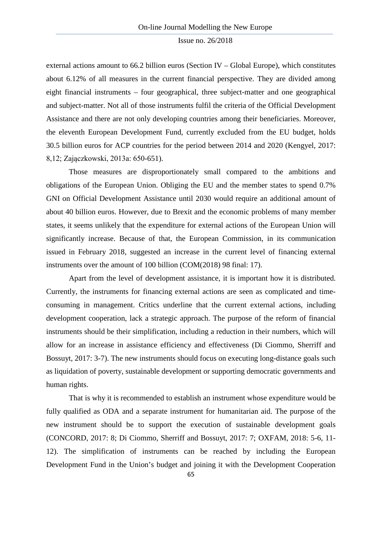external actions amount to 66.2 billion euros (Section IV – Global Europe), which constitutes about 6.12% of all measures in the current financial perspective. They are divided among eight financial instruments – four geographical, three subject-matter and one geographical and subject-matter. Not all of those instruments fulfil the criteria of the Official Development Assistance and there are not only developing countries among their beneficiaries. Moreover, the eleventh European Development Fund, currently excluded from the EU budget, holds 30.5 billion euros for ACP countries for the period between 2014 and 2020 (Kengyel, 2017: 8,12; Zajączkowski, 2013a: 650-651).

Those measures are disproportionately small compared to the ambitions and obligations of the European Union. Obliging the EU and the member states to spend 0.7% GNI on Official Development Assistance until 2030 would require an additional amount of about 40 billion euros. However, due to Brexit and the economic problems of many member states, it seems unlikely that the expenditure for external actions of the European Union will significantly increase. Because of that, the European Commission, in its communication issued in February 2018, suggested an increase in the current level of financing external instruments over the amount of 100 billion (COM(2018) 98 final: 17).

Apart from the level of development assistance, it is important how it is distributed. Currently, the instruments for financing external actions are seen as complicated and timeconsuming in management. Critics underline that the current external actions, including development cooperation, lack a strategic approach. The purpose of the reform of financial instruments should be their simplification, including a reduction in their numbers, which will allow for an increase in assistance efficiency and effectiveness (Di Ciommo, Sherriff and Bossuyt, 2017: 3-7). The new instruments should focus on executing long-distance goals such as liquidation of poverty, sustainable development or supporting democratic governments and human rights.

That is why it is recommended to establish an instrument whose expenditure would be fully qualified as ODA and a separate instrument for humanitarian aid. The purpose of the new instrument should be to support the execution of sustainable development goals (CONCORD, 2017: 8; Di Ciommo, Sherriff and Bossuyt, 2017: 7; OXFAM, 2018: 5-6, 11- 12). The simplification of instruments can be reached by including the European Development Fund in the Union's budget and joining it with the Development Cooperation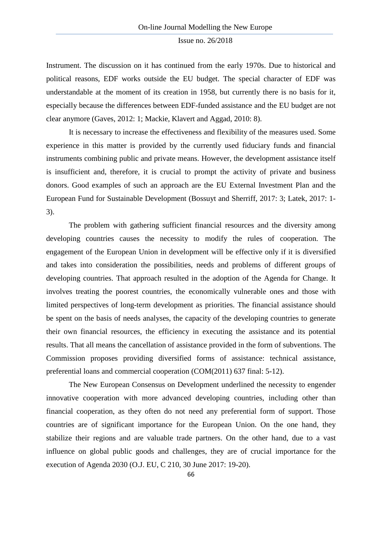Instrument. The discussion on it has continued from the early 1970s. Due to historical and political reasons, EDF works outside the EU budget. The special character of EDF was understandable at the moment of its creation in 1958, but currently there is no basis for it, especially because the differences between EDF-funded assistance and the EU budget are not clear anymore (Gaves, 2012: 1; Mackie, Klavert and Aggad, 2010: 8).

It is necessary to increase the effectiveness and flexibility of the measures used. Some experience in this matter is provided by the currently used fiduciary funds and financial instruments combining public and private means. However, the development assistance itself is insufficient and, therefore, it is crucial to prompt the activity of private and business donors. Good examples of such an approach are the EU External Investment Plan and the European Fund for Sustainable Development (Bossuyt and Sherriff, 2017: 3; Latek, 2017: 1- 3).

The problem with gathering sufficient financial resources and the diversity among developing countries causes the necessity to modify the rules of cooperation. The engagement of the European Union in development will be effective only if it is diversified and takes into consideration the possibilities, needs and problems of different groups of developing countries. That approach resulted in the adoption of the Agenda for Change. It involves treating the poorest countries, the economically vulnerable ones and those with limited perspectives of long-term development as priorities. The financial assistance should be spent on the basis of needs analyses, the capacity of the developing countries to generate their own financial resources, the efficiency in executing the assistance and its potential results. That all means the cancellation of assistance provided in the form of subventions. The Commission proposes providing diversified forms of assistance: technical assistance, preferential loans and commercial cooperation (COM(2011) 637 final: 5-12).

The New European Consensus on Development underlined the necessity to engender innovative cooperation with more advanced developing countries, including other than financial cooperation, as they often do not need any preferential form of support. Those countries are of significant importance for the European Union. On the one hand, they stabilize their regions and are valuable trade partners. On the other hand, due to a vast influence on global public goods and challenges, they are of crucial importance for the execution of Agenda 2030 (O.J. EU, C 210, 30 June 2017: 19-20).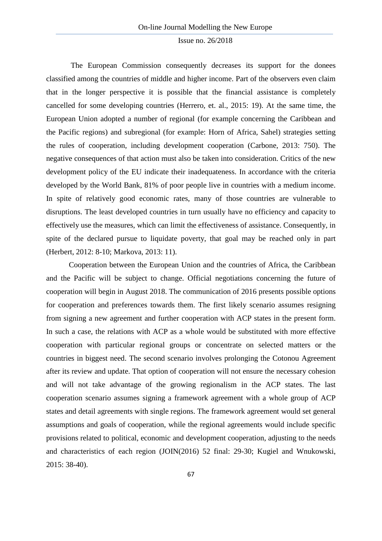The European Commission consequently decreases its support for the donees classified among the countries of middle and higher income. Part of the observers even claim that in the longer perspective it is possible that the financial assistance is completely cancelled for some developing countries (Herrero, et. al., 2015: 19). At the same time, the European Union adopted a number of regional (for example concerning the Caribbean and the Pacific regions) and subregional (for example: Horn of Africa, Sahel) strategies setting the rules of cooperation, including development cooperation (Carbone, 2013: 750). The negative consequences of that action must also be taken into consideration. Critics of the new development policy of the EU indicate their inadequateness. In accordance with the criteria developed by the World Bank, 81% of poor people live in countries with a medium income. In spite of relatively good economic rates, many of those countries are vulnerable to disruptions. The least developed countries in turn usually have no efficiency and capacity to effectively use the measures, which can limit the effectiveness of assistance. Consequently, in spite of the declared pursue to liquidate poverty, that goal may be reached only in part (Herbert, 2012: 8-10; Markova, 2013: 11).

Cooperation between the European Union and the countries of Africa, the Caribbean and the Pacific will be subject to change. Official negotiations concerning the future of cooperation will begin in August 2018. The communication of 2016 presents possible options for cooperation and preferences towards them. The first likely scenario assumes resigning from signing a new agreement and further cooperation with ACP states in the present form. In such a case, the relations with ACP as a whole would be substituted with more effective cooperation with particular regional groups or concentrate on selected matters or the countries in biggest need. The second scenario involves prolonging the Cotonou Agreement after its review and update. That option of cooperation will not ensure the necessary cohesion and will not take advantage of the growing regionalism in the ACP states. The last cooperation scenario assumes signing a framework agreement with a whole group of ACP states and detail agreements with single regions. The framework agreement would set general assumptions and goals of cooperation, while the regional agreements would include specific provisions related to political, economic and development cooperation, adjusting to the needs and characteristics of each region (JOIN(2016) 52 final: 29-30; Kugiel and Wnukowski, 2015: 38-40).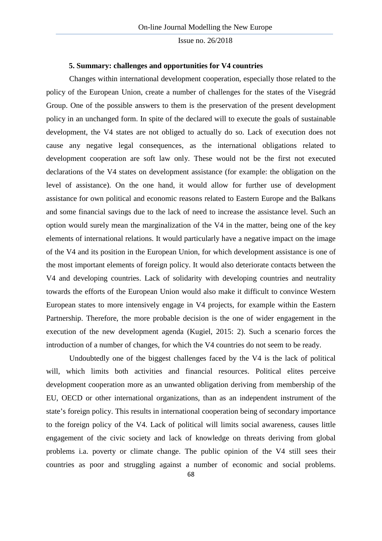#### **5. Summary: challenges and opportunities for V4 countries**

Changes within international development cooperation, especially those related to the policy of the European Union, create a number of challenges for the states of the Visegrád Group. One of the possible answers to them is the preservation of the present development policy in an unchanged form. In spite of the declared will to execute the goals of sustainable development, the V4 states are not obliged to actually do so. Lack of execution does not cause any negative legal consequences, as the international obligations related to development cooperation are soft law only. These would not be the first not executed declarations of the V4 states on development assistance (for example: the obligation on the level of assistance). On the one hand, it would allow for further use of development assistance for own political and economic reasons related to Eastern Europe and the Balkans and some financial savings due to the lack of need to increase the assistance level. Such an option would surely mean the marginalization of the V4 in the matter, being one of the key elements of international relations. It would particularly have a negative impact on the image of the V4 and its position in the European Union, for which development assistance is one of the most important elements of foreign policy. It would also deteriorate contacts between the V4 and developing countries. Lack of solidarity with developing countries and neutrality towards the efforts of the European Union would also make it difficult to convince Western European states to more intensively engage in V4 projects, for example within the Eastern Partnership. Therefore, the more probable decision is the one of wider engagement in the execution of the new development agenda (Kugiel, 2015: 2). Such a scenario forces the introduction of a number of changes, for which the V4 countries do not seem to be ready.

Undoubtedly one of the biggest challenges faced by the V4 is the lack of political will, which limits both activities and financial resources. Political elites perceive development cooperation more as an unwanted obligation deriving from membership of the EU, OECD or other international organizations, than as an independent instrument of the state's foreign policy. This results in international cooperation being of secondary importance to the foreign policy of the V4. Lack of political will limits social awareness, causes little engagement of the civic society and lack of knowledge on threats deriving from global problems i.a. poverty or climate change. The public opinion of the V4 still sees their countries as poor and struggling against a number of economic and social problems.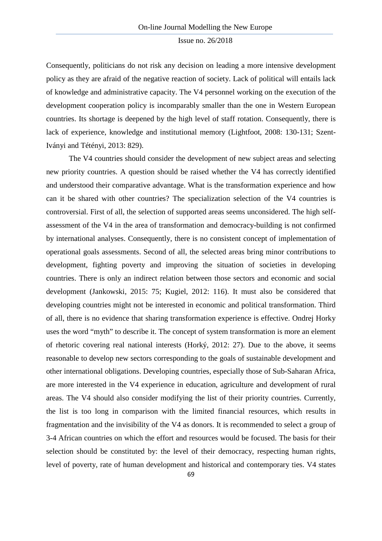Consequently, politicians do not risk any decision on leading a more intensive development policy as they are afraid of the negative reaction of society. Lack of political will entails lack of knowledge and administrative capacity. The V4 personnel working on the execution of the development cooperation policy is incomparably smaller than the one in Western European countries. Its shortage is deepened by the high level of staff rotation. Consequently, there is lack of experience, knowledge and institutional memory (Lightfoot, 2008: 130-131; Szent-Iványi and Tétényi, 2013: 829).

The V4 countries should consider the development of new subject areas and selecting new priority countries. A question should be raised whether the V4 has correctly identified and understood their comparative advantage. What is the transformation experience and how can it be shared with other countries? The specialization selection of the V4 countries is controversial. First of all, the selection of supported areas seems unconsidered. The high selfassessment of the V4 in the area of transformation and democracy-building is not confirmed by international analyses. Consequently, there is no consistent concept of implementation of operational goals assessments. Second of all, the selected areas bring minor contributions to development, fighting poverty and improving the situation of societies in developing countries. There is only an indirect relation between those sectors and economic and social development (Jankowski, 2015: 75; Kugiel, 2012: 116). It must also be considered that developing countries might not be interested in economic and political transformation. Third of all, there is no evidence that sharing transformation experience is effective. Ondrej Horky uses the word "myth" to describe it. The concept of system transformation is more an element of rhetoric covering real national interests (Horký, 2012: 27). Due to the above, it seems reasonable to develop new sectors corresponding to the goals of sustainable development and other international obligations. Developing countries, especially those of Sub-Saharan Africa, are more interested in the V4 experience in education, agriculture and development of rural areas. The V4 should also consider modifying the list of their priority countries. Currently, the list is too long in comparison with the limited financial resources, which results in fragmentation and the invisibility of the V4 as donors. It is recommended to select a group of 3-4 African countries on which the effort and resources would be focused. The basis for their selection should be constituted by: the level of their democracy, respecting human rights, level of poverty, rate of human development and historical and contemporary ties. V4 states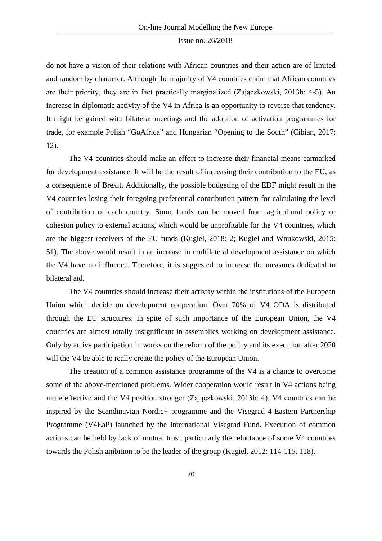do not have a vision of their relations with African countries and their action are of limited and random by character. Although the majority of V4 countries claim that African countries are their priority, they are in fact practically marginalized (Zajączkowski, 2013b: 4-5). An increase in diplomatic activity of the V4 in Africa is an opportunity to reverse that tendency. It might be gained with bilateral meetings and the adoption of activation programmes for trade, for example Polish "GoAfrica" and Hungarian "Opening to the South" (Cibian, 2017: 12).

The V4 countries should make an effort to increase their financial means earmarked for development assistance. It will be the result of increasing their contribution to the EU, as a consequence of Brexit. Additionally, the possible budgeting of the EDF might result in the V4 countries losing their foregoing preferential contribution pattern for calculating the level of contribution of each country. Some funds can be moved from agricultural policy or cohesion policy to external actions, which would be unprofitable for the V4 countries, which are the biggest receivers of the EU funds (Kugiel, 2018: 2; Kugiel and Wnukowski, 2015: 51). The above would result in an increase in multilateral development assistance on which the V4 have no influence. Therefore, it is suggested to increase the measures dedicated to bilateral aid.

The V4 countries should increase their activity within the institutions of the European Union which decide on development cooperation. Over 70% of V4 ODA is distributed through the EU structures. In spite of such importance of the European Union, the V4 countries are almost totally insignificant in assemblies working on development assistance. Only by active participation in works on the reform of the policy and its execution after 2020 will the V4 be able to really create the policy of the European Union.

The creation of a common assistance programme of the V4 is a chance to overcome some of the above-mentioned problems. Wider cooperation would result in V4 actions being more effective and the V4 position stronger (Zajączkowski, 2013b: 4). V4 countries can be inspired by the Scandinavian Nordic+ programme and the Visegrad 4-Eastern Partnership Programme (V4EaP) launched by the International Visegrad Fund. Execution of common actions can be held by lack of mutual trust, particularly the reluctance of some V4 countries towards the Polish ambition to be the leader of the group (Kugiel, 2012: 114-115, 118).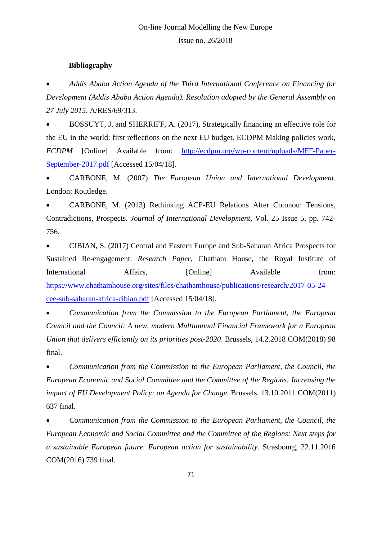#### **Bibliography**

• *Addis Ababa Action Agenda of the Third International Conference on Financing for Development (Addis Ababa Action Agenda). Resolution adopted by the General Assembly on 27 July 2015*. A/RES/69/313.

• BOSSUYT, J. and SHERRIFF, A. (2017), Strategically financing an effective role for the EU in the world: first reflections on the next EU budget. ECDPM Making policies work, *ECDPM* [Online] Available from: [http://ecdpm.org/wp-content/uploads/MFF-Paper-](http://ecdpm.org/wp-content/uploads/MFF-Paper-September-2017.pdf)[September-2017.pdf](http://ecdpm.org/wp-content/uploads/MFF-Paper-September-2017.pdf) [Accessed 15/04/18].

• CARBONE, M. (2007) *The European Union and International Development*. London: Routledge.

• CARBONE, M. (2013) Rethinking ACP-EU Relations After Cotonou: Tensions, Contradictions, Prospects. *Journal of International Development*, Vol. 25 Issue 5, pp. 742- 756.

• CIBIAN, S. (2017) Central and Eastern Europe and Sub-Saharan Africa Prospects for Sustained Re-engagement. *Research Paper*, Chatham House, the Royal Institute of International Affairs,  $[Online]$  Available from: [https://www.chathamhouse.org/sites/files/chathamhouse/publications/research/2017-05-24](https://www.chathamhouse.org/sites/files/chathamhouse/publications/research/2017-05-24-cee-sub-saharan-africa-cibian.pdf) [cee-sub-saharan-africa-cibian.pdf](https://www.chathamhouse.org/sites/files/chathamhouse/publications/research/2017-05-24-cee-sub-saharan-africa-cibian.pdf) [Accessed 15/04/18].

• *Communication from the Commission to the European Parliament, the European Council and the Council: A new, modern Multiannual Financial Framework for a European Union that delivers efficiently on its priorities post-2020*. Brussels, 14.2.2018 COM(2018) 98 final.

• *Communication from the Commission to the European Parliament, the Council, the European Economic and Social Committee and the Committee of the Regions: Increasing the impact of EU Development Policy: an Agenda for Change*. Brussels, 13.10.2011 COM(2011) 637 final.

• *Communication from the Commission to the European Parliament, the Council, the European Economic and Social Committee and the Committee of the Regions: Next steps for a sustainable European future. European action for sustainability*. Strasbourg, 22.11.2016 COM(2016) 739 final.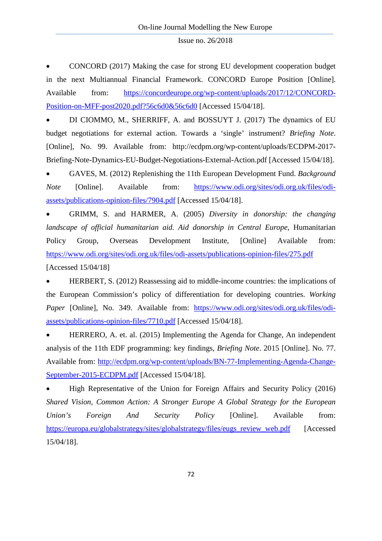• CONCORD (2017) Making the case for strong EU development cooperation budget in the next Multiannual Financial Framework. CONCORD Europe Position [Online]. Available from: [https://concordeurope.org/wp-content/uploads/2017/12/CONCORD-](https://concordeurope.org/wp-content/uploads/2017/12/CONCORD-Position-on-MFF-post2020.pdf?56c6d0&56c6d0)[Position-on-MFF-post2020.pdf?56c6d0&56c6d0](https://concordeurope.org/wp-content/uploads/2017/12/CONCORD-Position-on-MFF-post2020.pdf?56c6d0&56c6d0) [Accessed 15/04/18].

• DI CIOMMO, M., SHERRIFF, A. and BOSSUYT J. (2017) The dynamics of EU budget negotiations for external action. Towards a 'single' instrument? *Briefing Note*. [Online], No. 99. Available from: http://ecdpm.org/wp-content/uploads/ECDPM-2017- Briefing-Note-Dynamics-EU-Budget-Negotiations-External-Action.pdf [Accessed 15/04/18].

• GAVES, M. (2012) Replenishing the 11th European Development Fund. *Background Note* [Online]. Available from: [https://www.odi.org/sites/odi.org.uk/files/odi](https://www.odi.org/sites/odi.org.uk/files/odi-assets/publications-opinion-files/7904.pdf)[assets/publications-opinion-files/7904.pdf](https://www.odi.org/sites/odi.org.uk/files/odi-assets/publications-opinion-files/7904.pdf) [Accessed 15/04/18].

• GRIMM, S. and HARMER, A. (2005) *Diversity in donorship: the changing landscape of official humanitarian aid. Aid donorship in Central Europe*, Humanitarian Policy Group, Overseas Development Institute, [Online] Available from: <https://www.odi.org/sites/odi.org.uk/files/odi-assets/publications-opinion-files/275.pdf> [Accessed 15/04/18]

• HERBERT, S. (2012) Reassessing aid to middle-income countries: the implications of the European Commission's policy of differentiation for developing countries. *Working Paper* [Online], No. 349. Available from: [https://www.odi.org/sites/odi.org.uk/files/odi](https://www.odi.org/sites/odi.org.uk/files/odi-assets/publications-opinion-files/7710.pdf)[assets/publications-opinion-files/7710.pdf](https://www.odi.org/sites/odi.org.uk/files/odi-assets/publications-opinion-files/7710.pdf) [Accessed 15/04/18].

• HERRERO, A. et. al. (2015) Implementing the Agenda for Change, An independent analysis of the 11th EDF programming: key findings, *Briefing Note*. 2015 [Online]. No. 77. Available from: [http://ecdpm.org/wp-content/uploads/BN-77-Implementing-Agenda-Change-](http://ecdpm.org/wp-content/uploads/BN-77-Implementing-Agenda-Change-September-2015-ECDPM.pdf)[September-2015-ECDPM.pdf](http://ecdpm.org/wp-content/uploads/BN-77-Implementing-Agenda-Change-September-2015-ECDPM.pdf) [Accessed 15/04/18].

• High Representative of the Union for Foreign Affairs and Security Policy (2016) *Shared Vision, Common Action: A Stronger Europe A Global Strategy for the European Union's Foreign And Security Policy* [Online]. Available from: [https://europa.eu/globalstrategy/sites/globalstrategy/files/eugs\\_review\\_web.pdf](https://europa.eu/globalstrategy/sites/globalstrategy/files/eugs_review_web.pdf) [Accessed 15/04/18].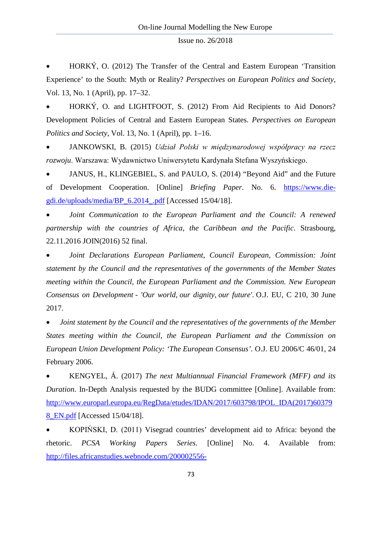• HORKÝ, O. (2012) The Transfer of the Central and Eastern European 'Transition Experience' to the South: Myth or Reality? *Perspectives on European Politics and Society*, Vol. 13, No. 1 (April), pp. 17–32.

• HORKÝ, O. and LIGHTFOOT, S. (2012) From Aid Recipients to Aid Donors? Development Policies of Central and Eastern European States. *Perspectives on European Politics and Society*, Vol. 13, No. 1 (April), pp. 1–16.

• JANKOWSKI, B. (2015) *Udział Polski w międzynarodowej współpracy na rzecz rozwoju*. Warszawa: Wydawnictwo Uniwersytetu Kardynała Stefana Wyszyńskiego.

• JANUS, H., KLINGEBIEL, S. and PAULO, S. (2014) "Beyond Aid" and the Future of Development Cooperation. [Online] *Briefing Paper*. No. 6. [https://www.die](https://www.die-gdi.de/uploads/media/BP_6.2014_.pdf)[gdi.de/uploads/media/BP\\_6.2014\\_.pdf](https://www.die-gdi.de/uploads/media/BP_6.2014_.pdf) [Accessed 15/04/18].

• *Joint Communication to the European Parliament and the Council: A renewed partnership with the countries of Africa, the Caribbean and the Pacific*. Strasbourg, 22.11.2016 JOIN(2016) 52 final.

• *Joint Declarations European Parliament, Council European, Commission: Joint statement by the Council and the representatives of the governments of the Member States meeting within the Council, the European Parliament and the Commission. New European Consensus on Development - 'Our world, our dignity, our future'*. O.J. EU, C 210, 30 June 2017.

• *Joint statement by the Council and the representatives of the governments of the Member States meeting within the Council, the European Parliament and the Commission on European Union Development Policy: 'The European Consensus'*. O.J. EU 2006/C 46/01, 24 February 2006.

• KENGYEL, Á. (2017) *The next Multiannual Financial Framework (MFF) and its Duration*. In-Depth Analysis requested by the BUDG committee [Online]. Available from: [http://www.europarl.europa.eu/RegData/etudes/IDAN/2017/603798/IPOL\\_IDA\(2017\)60379](http://www.europarl.europa.eu/RegData/etudes/IDAN/2017/603798/IPOL_IDA(2017)603798_EN.pdf) [8\\_EN.pdf](http://www.europarl.europa.eu/RegData/etudes/IDAN/2017/603798/IPOL_IDA(2017)603798_EN.pdf) [Accessed 15/04/18].

• KOPIŃSKI, D. (2011) Visegrad countries' development aid to Africa: beyond the rhetoric. *PCSA Working Papers Series*. [Online] No. 4. Available from: [http://files.africanstudies.webnode.com/200002556-](http://files.africanstudies.webnode.com/200002556-16405173a1/Visegrad_countries_development_aid_to_Africa_beyond_the_rhetoric.pdf)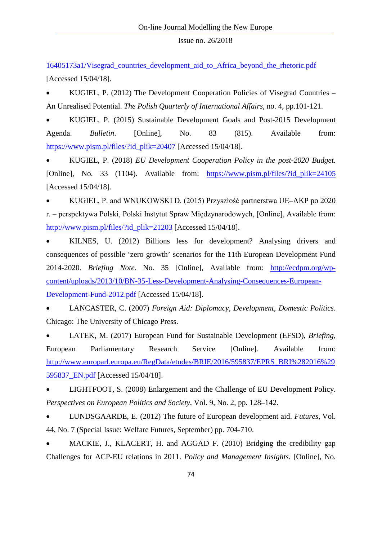[16405173a1/Visegrad\\_countries\\_development\\_aid\\_to\\_Africa\\_beyond\\_the\\_rhetoric.pdf](http://files.africanstudies.webnode.com/200002556-16405173a1/Visegrad_countries_development_aid_to_Africa_beyond_the_rhetoric.pdf) [Accessed 15/04/18].

• KUGIEL, P. (2012) The Development Cooperation Policies of Visegrad Countries – An Unrealised Potential. *The Polish Quarterly of International Affairs*, no. 4, pp.101-121.

• KUGIEL, P. (2015) Sustainable Development Goals and Post-2015 Development Agenda. *Bulletin*. [Online], No. 83 (815). Available from: [https://www.pism.pl/files/?id\\_plik=20407](https://www.pism.pl/files/?id_plik=20407) [Accessed 15/04/18].

• KUGIEL, P. (2018) *EU Development Cooperation Policy in the post-2020 Budget.* [Online], No. 33 (1104). Available from: [https://www.pism.pl/files/?id\\_plik=24105](https://www.pism.pl/files/?id_plik=24105) [Accessed 15/04/18].

• KUGIEL, P. and WNUKOWSKI D. (2015) Przyszłość partnerstwa UE–AKP po 2020 r. – perspektywa Polski, Polski Instytut Spraw Międzynarodowych, [Online], Available from: [http://www.pism.pl/files/?id\\_plik=21203](http://www.pism.pl/files/?id_plik=21203) [Accessed 15/04/18].

• KILNES, U. (2012) Billions less for development? Analysing drivers and consequences of possible 'zero growth' scenarios for the 11th European Development Fund 2014-2020. *Briefing Note*. No. 35 [Online], Available from: [http://ecdpm.org/wp](http://ecdpm.org/wp-content/uploads/2013/10/BN-35-Less-Development-Analysing-Consequences-European-Development-Fund-2012.pdf)[content/uploads/2013/10/BN-35-Less-Development-Analysing-Consequences-European-](http://ecdpm.org/wp-content/uploads/2013/10/BN-35-Less-Development-Analysing-Consequences-European-Development-Fund-2012.pdf)[Development-Fund-2012.pdf](http://ecdpm.org/wp-content/uploads/2013/10/BN-35-Less-Development-Analysing-Consequences-European-Development-Fund-2012.pdf) [Accessed 15/04/18].

• LANCASTER, C. (2007) *Foreign Aid: Diplomacy, Development, Domestic Politics*. Chicago: The University of Chicago Press.

• LATEK, M. (2017) European Fund for Sustainable Development (EFSD), *Briefing*, European Parliamentary Research Service [Online]. Available from: [http://www.europarl.europa.eu/RegData/etudes/BRIE/2016/595837/EPRS\\_BRI%282016%29](http://www.europarl.europa.eu/RegData/etudes/BRIE/2016/595837/EPRS_BRI%282016%29595837_EN.pdf) [595837\\_EN.pdf](http://www.europarl.europa.eu/RegData/etudes/BRIE/2016/595837/EPRS_BRI%282016%29595837_EN.pdf) [Accessed 15/04/18].

• LIGHTFOOT, S. (2008) Enlargement and the Challenge of EU Development Policy. *Perspectives on European Politics and Society*, Vol. 9, No. 2, pp. 128–142.

• LUNDSGAARDE, E. (2012) The future of European development aid. *Futures*, Vol. 44, No. 7 (Special Issue: Welfare Futures, September) pp. 704-710.

MACKIE, J., KLACERT, H. and AGGAD F. (2010) Bridging the credibility gap Challenges for ACP-EU relations in 2011. *Policy and Management Insights*. [Online], No.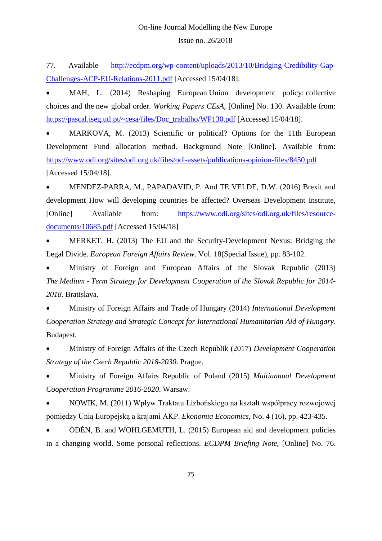77. Available [http://ecdpm.org/wp-content/uploads/2013/10/Bridging-Credibility-Gap-](http://ecdpm.org/wp-content/uploads/2013/10/Bridging-Credibility-Gap-Challenges-ACP-EU-Relations-2011.pdf)[Challenges-ACP-EU-Relations-2011.pdf](http://ecdpm.org/wp-content/uploads/2013/10/Bridging-Credibility-Gap-Challenges-ACP-EU-Relations-2011.pdf) [Accessed 15/04/18].

MAH, L. (2014) Reshaping European Union development policy: collective choices and the new global order. *Working Papers CEsA*, [Online] No. 130. Available from: [https://pascal.iseg.utl.pt/~cesa/files/Doc\\_trabalho/WP130.pdf](https://pascal.iseg.utl.pt/%7Ecesa/files/Doc_trabalho/WP130.pdf) [Accessed 15/04/18].

• MARKOVA, M. (2013) Scientific or political? Options for the 11th European Development Fund allocation method. Background Note [Online]. Available from: <https://www.odi.org/sites/odi.org.uk/files/odi-assets/publications-opinion-files/8450.pdf> [Accessed 15/04/18].

• MENDEZ-PARRA, M., PAPADAVID, P. And TE VELDE, D.W. (2016) Brexit and development How will developing countries be affected? Overseas Development Institute, [Online] Available from: [https://www.odi.org/sites/odi.org.uk/files/resource](https://www.odi.org/sites/odi.org.uk/files/resource-documents/10685.pdf)[documents/10685.pdf](https://www.odi.org/sites/odi.org.uk/files/resource-documents/10685.pdf) [Accessed 15/04/18]

• MERKET, H. (2013) The EU and the Security-Development Nexus: Bridging the Legal Divide. *European Foreign Affairs Review*. Vol. 18(Special Issue), pp. 83-102.

• Ministry of Foreign and European Affairs of the Slovak Republic (2013) *The Medium - Term Strategy for Development Cooperation of the Slovak Republic for 2014- 2018*. Bratislava.

• Ministry of Foreign Affairs and Trade of Hungary (2014) *International Development Cooperation Strategy and Strategic Concept for International Humanitarian Aid of Hungary*. Budapest.

• Ministry of Foreign Affairs of the Czech Republik (2017) *Development Cooperation Strategy of the Czech Republic 2018-2030*. Prague.

• Ministry of Foreign Affairs Republic of Poland (2015) *Multiannual Development Cooperation Programme 2016-2020*. Warsaw.

• NOWIK, M. (2011) Wpływ Traktatu Lizbońskiego na kształt współpracy rozwojowej pomiędzy Unią Europejską a krajami AKP. *Ekonomia Economics*, No. 4 (16), pp. 423-435.

• ODÉN, B. and WOHLGEMUTH, L. (2015) European aid and development policies in a changing world. Some personal reflections. *ECDPM Briefing Note*, [Online] No. 76.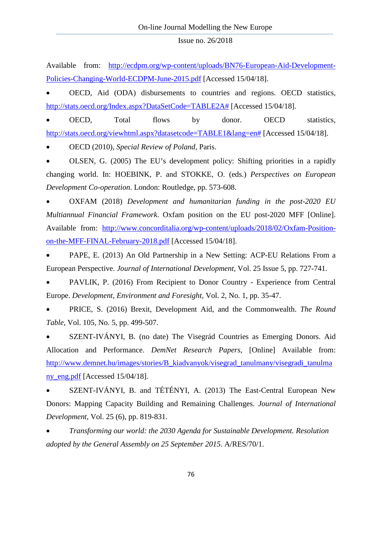Available from: [http://ecdpm.org/wp-content/uploads/BN76-European-Aid-Development-](http://ecdpm.org/wp-content/uploads/BN76-European-Aid-Development-Policies-Changing-World-ECDPM-June-2015.pdf)[Policies-Changing-World-ECDPM-June-2015.pdf](http://ecdpm.org/wp-content/uploads/BN76-European-Aid-Development-Policies-Changing-World-ECDPM-June-2015.pdf) [Accessed 15/04/18].

• OECD, Aid (ODA) disbursements to countries and regions. OECD statistics, [http://stats.oecd.org/Index.aspx?DataSetCode=TABLE2A#](http://stats.oecd.org/Index.aspx?DataSetCode=TABLE2A) [Accessed 15/04/18].

• OECD, Total flows by donor. OECD statistics, [http://stats.oecd.org/viewhtml.aspx?datasetcode=TABLE1&lang=en#](http://stats.oecd.org/viewhtml.aspx?datasetcode=TABLE1&lang=en) [Accessed 15/04/18].

• OECD (2010), *Special Review of Poland*, Paris.

• OLSEN, G. (2005) The EU's development policy: Shifting priorities in a rapidly changing world. In: HOEBINK, P. and STOKKE, O. (eds.) *Perspectives on European Development Co-operation*. London: Routledge, pp. 573-608.

• OXFAM (2018) *Development and humanitarian funding in the post-2020 EU Multiannual Financial Framework*. Oxfam position on the EU post-2020 MFF [Online]. Available from: [http://www.concorditalia.org/wp-content/uploads/2018/02/Oxfam-Position](http://www.concorditalia.org/wp-content/uploads/2018/02/Oxfam-Position-on-the-MFF-FINAL-February-2018.pdf)[on-the-MFF-FINAL-February-2018.pdf](http://www.concorditalia.org/wp-content/uploads/2018/02/Oxfam-Position-on-the-MFF-FINAL-February-2018.pdf) [Accessed 15/04/18].

• PAPE, E. (2013) An Old Partnership in a New Setting: ACP-EU Relations From a European Perspective. *Journal of International Development*, Vol. 25 Issue 5, pp. 727-741.

• PAVLIK, P. (2016) From Recipient to Donor Country - Experience from Central Europe. *Development, Environment and Foresight*, Vol. 2, No. 1, pp. 35-47.

• PRICE, S. (2016) Brexit, Development Aid, and the Commonwealth. *The Round Table*, Vol. 105, No. 5, pp. 499-507.

• SZENT-IVÁNYI, B. (no date) The Visegrád Countries as Emerging Donors. Aid Allocation and Performance. *DemNet Research Papers*, [Online] Available from: [http://www.demnet.hu/images/stories/B\\_kiadvanyok/visegrad\\_tanulmany/visegradi\\_tanulma](http://www.demnet.hu/images/stories/B_kiadvanyok/visegrad_tanulmany/visegradi_tanulmany_eng.pdf) [ny\\_eng.pdf](http://www.demnet.hu/images/stories/B_kiadvanyok/visegrad_tanulmany/visegradi_tanulmany_eng.pdf) [Accessed 15/04/18].

• SZENT-IVÁNYI, B. and TÉTÉNYI, A. (2013) The East-Central European New Donors: Mapping Capacity Building and Remaining Challenges. *Journal of International Development*, Vol. 25 (6), pp. 819-831.

• *Transforming our world: the 2030 Agenda for Sustainable Development. Resolution adopted by the General Assembly on 25 September 2015*. A/RES/70/1.